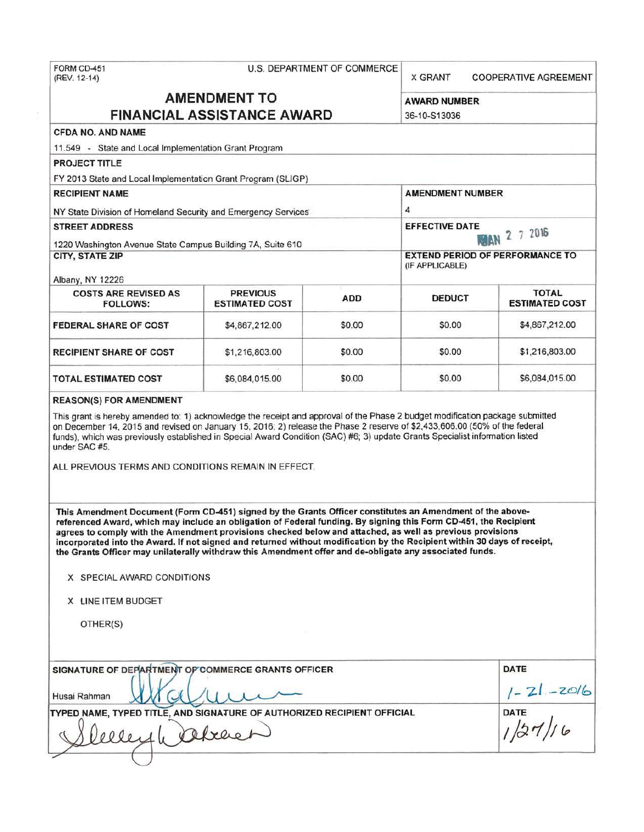| FORM CD-451  |  |
|--------------|--|
| (REV. 12-14) |  |

#### U.S. DEPARTMENT OF COMMERCE

X GRANT COOPERATIVE AGREEMENT

# **AMENDMENT TO** AWARD NUMBER **FINANCIAL ASSISTANCE AWARD** 36-10-S13036

# CFDA NO. AND NAME

11.549 - State and Local Implementation Grant Program

PROJECT TITLE FY 2013 State and Local Implementation Grant Program (SLIGP) RECIPIENT NAME AMENDMENT NUMBER NY State Division of Homeland Security and Emergency Services 4 STREET ADDRESS<br>1220 Washington Avenue State Commun Dividence 21 College of the Contract of College of the Contract of the College of the College of the College of the College of the College of the College of the College of 1220 Washington Avenue State Campus Building 7A, Suite 610 CITY, STATE ZIP EXTEND PERIOD OF PERFORMANCE TO (IF APPLICABLE) Albany, NY 12226 COSTS ARE REVISED AS PREVIOUS ADD DEDUCT TOTAL TOTAL TOTAL TOTAL PREVIOUS ADD DEDUCT ESTIMATED COST **ESTIMATED COST FEDERAL SHARE OF COST**  \$4,867,212.00 \$0.00 \$0.00 \$0.00 \$4,867,212.00 RECIPIENT SHARE OF COST \$1,216,803.00 \$0.00 \$0.00 \$0.00 \$1,216,803.00

#### REASON(S) FOR AMENDMENT

This grant is hereby amended to: 1) acknowledge the receipt and approval of the Phase 2 budget modification package submitted on December 14, 2015 and revised on January 15, 2016; 2) release the Phase 2 reserve of \$2,433,606.00 (50% of the federal funds). which was previously established in Special Award Condition (SAC) #6; 3) update Grants Specialist information listed under SAC #5.

TOTAL ESTIMATED COST  $$6,084,015.00$  \$0.00 \$0.00 \$6,084,015.00

ALL PREVIOUS TERMS AND CONDITIONS REMAIN IN EFFECT.

This Amendment Document (Form CD-451) s igned by the Grants Officer constitutes an Amendment of the abovereferenced Award, which may include an obligation of Federal funding. By signing this Form CD-451, the Recipient agrees to comply with the Amendment provisions checked below and attached, as well as previous provisions incorporated into the Award. If not signed and returned without modification by the Recipient within 30 days of receipt, the Grants Officer may unilaterally withdraw this Amendment offer and de-obligate any associated funds.

X SPECIAL AWARD CONDITIONS

X LINE ITEM BUDGET

OTHER(S)

| SIGNATURE OF DEPARTMENT OP COMMERCE GRANTS OFFICER                      | DATE            |
|-------------------------------------------------------------------------|-----------------|
| Husai Rahman                                                            | $1 - 21 - 2016$ |
| TYPED NAME, TYPED TITLE, AND SIGNATURE OF AUTHORIZED RECIPIENT OFFICIAL | DATE            |
| refreet                                                                 |                 |